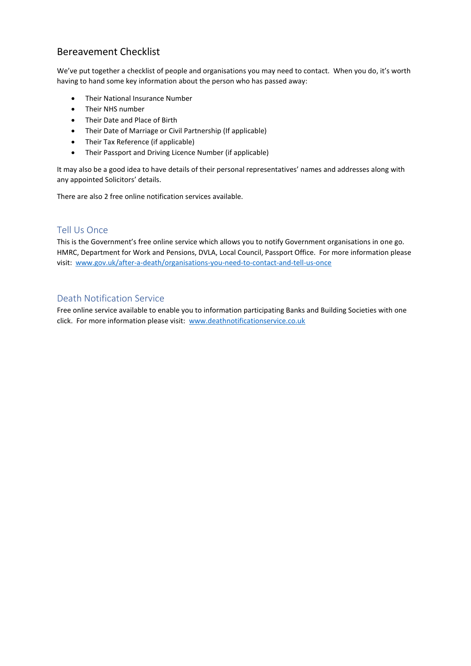### Bereavement Checklist

We've put together a checklist of people and organisations you may need to contact. When you do, it's worth having to hand some key information about the person who has passed away:

- Their National Insurance Number
- Their NHS number
- Their Date and Place of Birth
- Their Date of Marriage or Civil Partnership (If applicable)
- Their Tax Reference (if applicable)
- Their Passport and Driving Licence Number (if applicable)

It may also be a good idea to have details of their personal representatives' names and addresses along with any appointed Solicitors' details.

There are also 2 free online notification services available.

#### Tell Us Once

This is the Government's free online service which allows you to notify Government organisations in one go. HMRC, Department for Work and Pensions, DVLA, Local Council, Passport Office. For more information please visit: [www.gov.uk/after-a-death/organisations-you-need-to-contact-and-tell-us-once](http://www.gov.uk/after-a-death/organisations-you-need-to-contact-and-tell-us-once)

#### Death Notification Service

Free online service available to enable you to information participating Banks and Building Societies with one click. For more information please visit: [www.deathnotificationservice.co.uk](http://www.deathnotificationservice.co.uk/)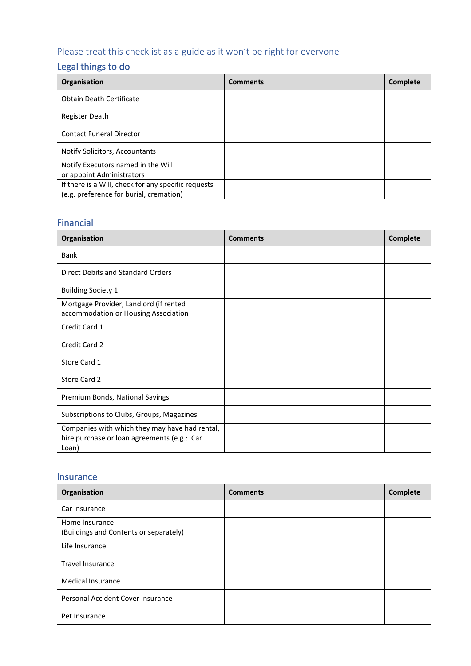# Please treat this checklist as a guide as it won't be right for everyone

## Legal things to do

| Organisation                                        | <b>Comments</b> | <b>Complete</b> |
|-----------------------------------------------------|-----------------|-----------------|
| <b>Obtain Death Certificate</b>                     |                 |                 |
| Register Death                                      |                 |                 |
| <b>Contact Funeral Director</b>                     |                 |                 |
| Notify Solicitors, Accountants                      |                 |                 |
| Notify Executors named in the Will                  |                 |                 |
| or appoint Administrators                           |                 |                 |
| If there is a Will, check for any specific requests |                 |                 |
| (e.g. preference for burial, cremation)             |                 |                 |

### Financial

| Organisation                                                                                           | <b>Comments</b> | Complete |
|--------------------------------------------------------------------------------------------------------|-----------------|----------|
| <b>Bank</b>                                                                                            |                 |          |
| Direct Debits and Standard Orders                                                                      |                 |          |
| <b>Building Society 1</b>                                                                              |                 |          |
| Mortgage Provider, Landlord (if rented<br>accommodation or Housing Association                         |                 |          |
| Credit Card 1                                                                                          |                 |          |
| Credit Card 2                                                                                          |                 |          |
| Store Card 1                                                                                           |                 |          |
| Store Card 2                                                                                           |                 |          |
| Premium Bonds, National Savings                                                                        |                 |          |
| Subscriptions to Clubs, Groups, Magazines                                                              |                 |          |
| Companies with which they may have had rental,<br>hire purchase or loan agreements (e.g.: Car<br>Loan) |                 |          |

### Insurance

| Organisation                                             | <b>Comments</b> | Complete |
|----------------------------------------------------------|-----------------|----------|
| Car Insurance                                            |                 |          |
| Home Insurance<br>(Buildings and Contents or separately) |                 |          |
| Life Insurance                                           |                 |          |
| <b>Travel Insurance</b>                                  |                 |          |
| <b>Medical Insurance</b>                                 |                 |          |
| Personal Accident Cover Insurance                        |                 |          |
| Pet Insurance                                            |                 |          |